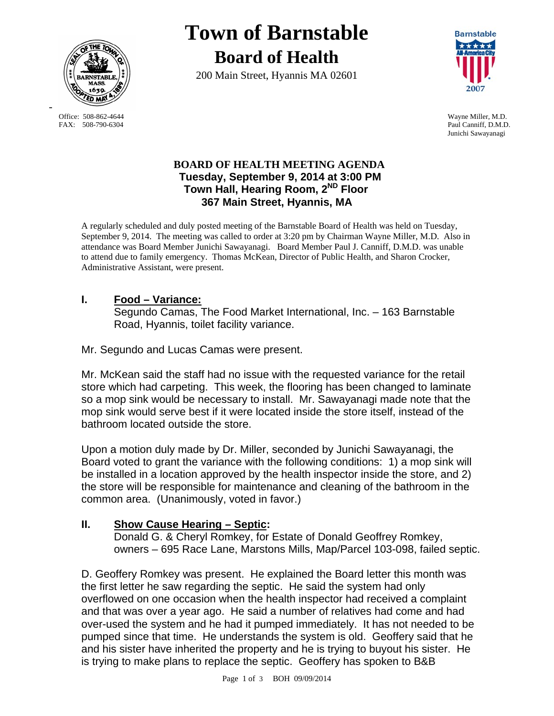

FAX: 508-790-6304 Paul Canniff, D.M.D.

-

# **Town of Barnstable Board of Health**

200 Main Street, Hyannis MA 02601



Office: 508-862-4644 Wayne Miller, M.D. Junichi Sawayanagi

### **BOARD OF HEALTH MEETING AGENDA Tuesday, September 9, 2014 at 3:00 PM Town Hall, Hearing Room, 2ND Floor 367 Main Street, Hyannis, MA**

A regularly scheduled and duly posted meeting of the Barnstable Board of Health was held on Tuesday, September 9, 2014. The meeting was called to order at 3:20 pm by Chairman Wayne Miller, M.D. Also in attendance was Board Member Junichi Sawayanagi. Board Member Paul J. Canniff, D.M.D. was unable to attend due to family emergency. Thomas McKean, Director of Public Health, and Sharon Crocker, Administrative Assistant, were present.

## **I. Food – Variance:**

Segundo Camas, The Food Market International, Inc. – 163 Barnstable Road, Hyannis, toilet facility variance.

Mr. Segundo and Lucas Camas were present.

Mr. McKean said the staff had no issue with the requested variance for the retail store which had carpeting. This week, the flooring has been changed to laminate so a mop sink would be necessary to install. Mr. Sawayanagi made note that the mop sink would serve best if it were located inside the store itself, instead of the bathroom located outside the store.

Upon a motion duly made by Dr. Miller, seconded by Junichi Sawayanagi, the Board voted to grant the variance with the following conditions: 1) a mop sink will be installed in a location approved by the health inspector inside the store, and 2) the store will be responsible for maintenance and cleaning of the bathroom in the common area. (Unanimously, voted in favor.)

## **II. Show Cause Hearing – Septic:**

Donald G. & Cheryl Romkey, for Estate of Donald Geoffrey Romkey, owners – 695 Race Lane, Marstons Mills, Map/Parcel 103-098, failed septic.

D. Geoffery Romkey was present. He explained the Board letter this month was the first letter he saw regarding the septic. He said the system had only overflowed on one occasion when the health inspector had received a complaint and that was over a year ago. He said a number of relatives had come and had over-used the system and he had it pumped immediately. It has not needed to be pumped since that time. He understands the system is old. Geoffery said that he and his sister have inherited the property and he is trying to buyout his sister. He is trying to make plans to replace the septic. Geoffery has spoken to B&B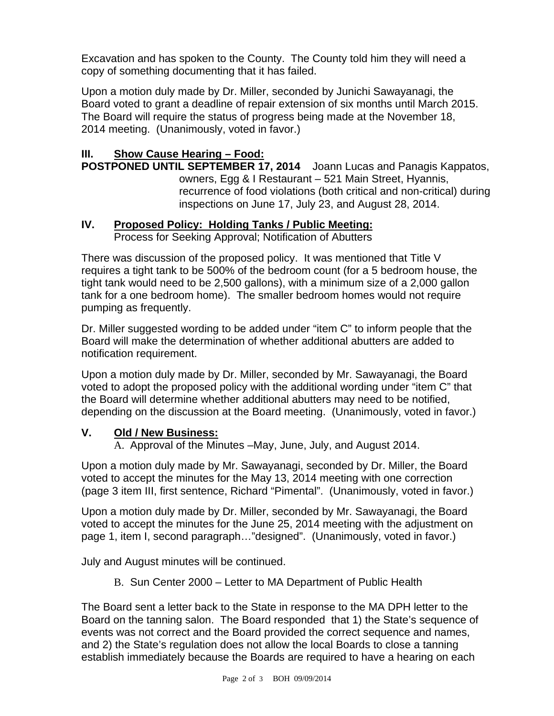Excavation and has spoken to the County. The County told him they will need a copy of something documenting that it has failed.

Upon a motion duly made by Dr. Miller, seconded by Junichi Sawayanagi, the Board voted to grant a deadline of repair extension of six months until March 2015. The Board will require the status of progress being made at the November 18, 2014 meeting. (Unanimously, voted in favor.)

## **III. Show Cause Hearing – Food:**

**POSTPONED UNTIL SEPTEMBER 17, 2014** Joann Lucas and Panagis Kappatos, owners, Egg & I Restaurant – 521 Main Street, Hyannis, recurrence of food violations (both critical and non-critical) during inspections on June 17, July 23, and August 28, 2014.

#### **IV. Proposed Policy: Holding Tanks / Public Meeting:**

Process for Seeking Approval; Notification of Abutters

There was discussion of the proposed policy. It was mentioned that Title V requires a tight tank to be 500% of the bedroom count (for a 5 bedroom house, the tight tank would need to be 2,500 gallons), with a minimum size of a 2,000 gallon tank for a one bedroom home). The smaller bedroom homes would not require pumping as frequently.

Dr. Miller suggested wording to be added under "item C" to inform people that the Board will make the determination of whether additional abutters are added to notification requirement.

Upon a motion duly made by Dr. Miller, seconded by Mr. Sawayanagi, the Board voted to adopt the proposed policy with the additional wording under "item C" that the Board will determine whether additional abutters may need to be notified, depending on the discussion at the Board meeting. (Unanimously, voted in favor.)

#### **V. Old / New Business:**

A. Approval of the Minutes –May, June, July, and August 2014.

Upon a motion duly made by Mr. Sawayanagi, seconded by Dr. Miller, the Board voted to accept the minutes for the May 13, 2014 meeting with one correction (page 3 item III, first sentence, Richard "Pimental". (Unanimously, voted in favor.)

Upon a motion duly made by Dr. Miller, seconded by Mr. Sawayanagi, the Board voted to accept the minutes for the June 25, 2014 meeting with the adjustment on page 1, item I, second paragraph…"designed". (Unanimously, voted in favor.)

July and August minutes will be continued.

B. Sun Center 2000 – Letter to MA Department of Public Health

The Board sent a letter back to the State in response to the MA DPH letter to the Board on the tanning salon. The Board responded that 1) the State's sequence of events was not correct and the Board provided the correct sequence and names, and 2) the State's regulation does not allow the local Boards to close a tanning establish immediately because the Boards are required to have a hearing on each